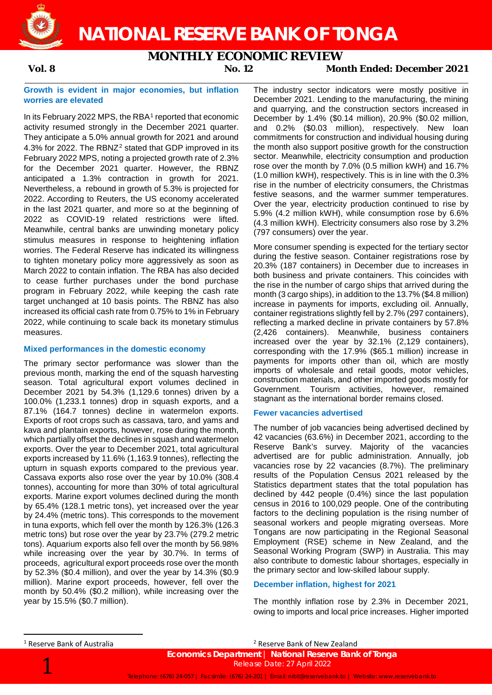**NATIONAL RESERVE BANK OF TONGA**

## **MONTHLY ECONOMIC REVIEW**



**Vol. 8 No. 12 Month Ended: December 2021**

### **Growth is evident in major economies, but inflation worries are elevated**

In its February 2022 MPS, the RBA<sup>[1](#page-0-0)</sup> reported that economic activity resumed strongly in the December 2021 quarter. They anticipate a 5.0% annual growth for 2021 and around 4.3% for [2](#page-0-0)022. The RBNZ<sup>2</sup> stated that GDP improved in its February 2022 MPS, noting a projected growth rate of 2.3% for the December 2021 quarter. However, the RBNZ anticipated a 1.3% contraction in growth for 2021. Nevertheless, a rebound in growth of 5.3% is projected for 2022. According to Reuters, the US economy accelerated in the last 2021 quarter, and more so at the beginning of 2022 as COVID-19 related restrictions were lifted. Meanwhile, central banks are unwinding monetary policy stimulus measures in response to heightening inflation worries. The Federal Reserve has indicated its willingness to tighten monetary policy more aggressively as soon as March 2022 to contain inflation. The RBA has also decided to cease further purchases under the bond purchase program in February 2022, while keeping the cash rate target unchanged at 10 basis points. The RBNZ has also increased its official cash rate from 0.75% to 1% in February 2022, while continuing to scale back its monetary stimulus measures.

### **Mixed performances in the domestic economy**

The primary sector performance was slower than the previous month, marking the end of the squash harvesting season. Total agricultural export volumes declined in December 2021 by 54.3% (1,129.6 tonnes) driven by a 100.0% (1,233.1 tonnes) drop in squash exports, and a 87.1% (164.7 tonnes) decline in watermelon exports. Exports of root crops such as cassava, taro, and yams and kava and plantain exports, however, rose during the month, which partially offset the declines in squash and watermelon exports. Over the year to December 2021, total agricultural exports increased by 11.6% (1,163.9 tonnes), reflecting the upturn in squash exports compared to the previous year. Cassava exports also rose over the year by 10.0% (308.4 tonnes), accounting for more than 30% of total agricultural exports. Marine export volumes declined during the month by 65.4% (128.1 metric tons), yet increased over the year by 24.4% (metric tons). This corresponds to the movement in tuna exports, which fell over the month by 126.3% (126.3 metric tons) but rose over the year by 23.7% (279.2 metric tons). Aquarium exports also fell over the month by 56.98% while increasing over the year by 30.7%. In terms of proceeds, agricultural export proceeds rose over the month by 52.3% (\$0.4 million), and over the year by 14.3% (\$0.9 million). Marine export proceeds, however, fell over the month by 50.4% (\$0.2 million), while increasing over the year by 15.5% (\$0.7 million).

The industry sector indicators were mostly positive in December 2021. Lending to the manufacturing, the mining and quarrying, and the construction sectors increased in December by 1.4% (\$0.14 million), 20.9% (\$0.02 million, and 0.2% (\$0.03 million), respectively. New loan commitments for construction and individual housing during the month also support positive growth for the construction sector. Meanwhile, electricity consumption and production rose over the month by 7.0% (0.5 million kWH) and 16.7% (1.0 million kWH), respectively. This is in line with the 0.3% rise in the number of electricity consumers, the Christmas festive seasons, and the warmer summer temperatures. Over the year, electricity production continued to rise by 5.9% (4.2 million kWH), while consumption rose by 6.6% (4.3 million kWH). Electricity consumers also rose by 3.2% (797 consumers) over the year.

More consumer spending is expected for the tertiary sector during the festive season. Container registrations rose by 20.3% (187 containers) in December due to increases in both business and private containers. This coincides with the rise in the number of cargo ships that arrived during the month (3 cargo ships), in addition to the 13.7% (\$4.8 million) increase in payments for imports, excluding oil. Annually, container registrations slightly fell by 2.7% (297 containers), reflecting a marked decline in private containers by 57.8% (2,426 containers). Meanwhile, business containers increased over the year by 32.1% (2,129 containers), corresponding with the 17.9% (\$65.1 million) increase in payments for imports other than oil, which are mostly imports of wholesale and retail goods, motor vehicles, construction materials, and other imported goods mostly for Government. Tourism activities, however, remained stagnant as the international border remains closed.

### **Fewer vacancies advertised**

The number of job vacancies being advertised declined by 42 vacancies (63.6%) in December 2021, according to the Reserve Bank's survey. Majority of the vacancies advertised are for public administration. Annually, job vacancies rose by 22 vacancies (8.7%). The preliminary results of the Population Census 2021 released by the Statistics department states that the total population has declined by 442 people (0.4%) since the last population census in 2016 to 100,029 people. One of the contributing factors to the declining population is the rising number of seasonal workers and people migrating overseas. More Tongans are now participating in the Regional Seasonal Employment (RSE) scheme in New Zealand, and the Seasonal Working Program (SWP) in Australia. This may also contribute to domestic labour shortages, especially in the primary sector and low-skilled labour supply.

### **December inflation, highest for 2021**

The monthly inflation rose by 2.3% in December 2021, owing to imports and local price increases. Higher imported

<span id="page-0-0"></span>1 Reserve Bank of Australia

<sup>2</sup> Reserve Bank of New Zealand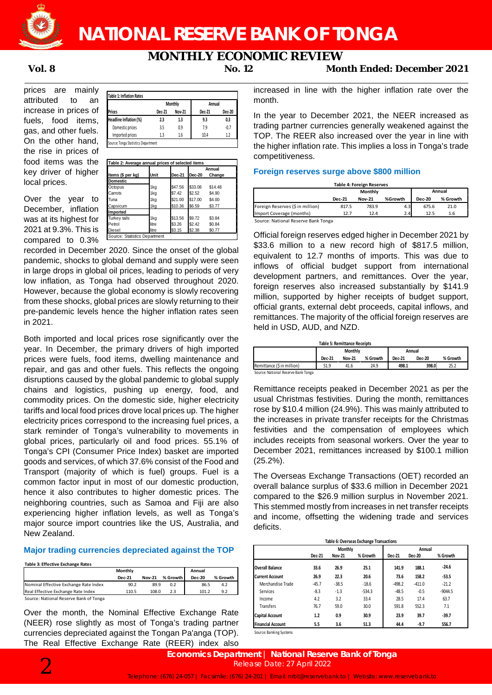

## **NATIONAL RESERVE BANK OF TONGA**

# **MONTHLY ECONOMIC REVIEW**<br>No. 12 Mor

prices are mainly attributed to an increase in prices of fuels, food items, gas, and other fuels. On the other hand, the rise in prices of food items was the key driver of higher local prices.

Over the year to December, inflation was at its highest for 2021 at 9.3%. This is compared to  $0.3\%$ 

|                        |        | Monthly       | Annual |        |  |
|------------------------|--------|---------------|--------|--------|--|
| <b>Prices</b>          | Dec-21 | <b>Nov-21</b> | Dec-21 | Dec-20 |  |
| Headline Inflation (%) | 2.3    | 1.3           | 9.3    | 0.3    |  |
| Domestic prices        | 3.5    | 0.9           | 7.9    | $-0.7$ |  |
| Imported prices        | 1.3    | 1.6           | 10.4   | 1.2    |  |

|                   |        |         | Annual        |         |  |
|-------------------|--------|---------|---------------|---------|--|
| Items (\$ per kg) | Unit   | Dec-21  | <b>Dec-20</b> | Change  |  |
| Domestic          |        |         |               |         |  |
| Octopus           | 1kg    | \$47.56 | \$33.08       | \$14.48 |  |
| Carrots           | 1kg    | \$7.42  | \$2.52        | \$4.90  |  |
| Tuna              | 1kg    | \$21.00 | \$17.00       | \$4.00  |  |
| Capsicum          | 1kg    | \$10.36 | \$6.59        | \$3.77  |  |
| Imported          |        |         |               |         |  |
| Turkey tails      | 1kg    | \$13.56 | \$9.72        | \$3.84  |  |
| Petrol            | litre. | \$3.26  | \$2.42        | \$0.84  |  |
| Diesel            | litre. | \$3.15  | \$2.38        | \$0.77  |  |

recorded in December 2020. Since the onset of the global pandemic, shocks to global demand and supply were seen in large drops in global oil prices, leading to periods of very low inflation, as Tonga had observed throughout 2020. However, because the global economy is slowly recovering from these shocks, global prices are slowly returning to their pre-pandemic levels hence the higher inflation rates seen in 2021.

Both imported and local prices rose significantly over the year. In December, the primary drivers of high imported prices were fuels, food items, dwelling maintenance and repair, and gas and other fuels. This reflects the ongoing disruptions caused by the global pandemic to global supply chains and logistics, pushing up energy, food, and commodity prices. On the domestic side, higher electricity tariffs and local food prices drove local prices up. The higher electricity prices correspond to the increasing fuel prices, a stark reminder of Tonga's vulnerability to movements in global prices, particularly oil and food prices. 55.1% of Tonga's CPI (Consumer Price Index) basket are imported goods and services, of which 37.6% consist of the Food and Transport (majority of which is fuel) groups. Fuel is a common factor input in most of our domestic production, hence it also contributes to higher domestic prices. The neighboring countries, such as Samoa and Fiji are also experiencing higher inflation levels, as well as Tonga's major source import countries like the US, Australia, and New Zealand.

### **Major trading currencies depreciated against the TOP**

|                                        | Monthly       |               |          | Annual        |          |
|----------------------------------------|---------------|---------------|----------|---------------|----------|
|                                        | <b>Dec-21</b> | <b>Nov-21</b> | % Growth | <b>Dec-20</b> | % Growth |
| Nominal Effective Exchange Rate Index  | 90.2          | 89.9          | 0.2      | 86.5          | 4.2      |
| Real Effective Exchange Rate Index     | 110.5         | 108.0         | 2.3      | 101.2         | 9.2      |
| Source: National Reserve Bank of Tonga |               |               |          |               |          |

Over the month, the Nominal Effective Exchange Rate (NEER) rose slightly as most of Tonga's trading partner currencies depreciated against the Tongan Pa'anga (TOP). The Real Effective Exchange Rate (REER) index also

**Vol. 8 No. 12 Month Ended: December 2021**

increased in line with the higher inflation rate over the month.

In the year to December 2021, the NEER increased as trading partner currencies generally weakened against the TOP. The REER also increased over the year in line with the higher inflation rate. This implies a loss in Tonga's trade competitiveness.

### **Foreign reserves surge above \$800 million**

| Table 4: Foreign Reserves<br>Annual<br>Monthly |               |               |         |               |          |  |  |
|------------------------------------------------|---------------|---------------|---------|---------------|----------|--|--|
|                                                | <b>Dec-21</b> | <b>Nov-21</b> | %Growth | <b>Dec-20</b> | % Growth |  |  |
| Foreign Reserves (\$ in million)               | 817.5         | 783.9         | 4.3     | 675.6         | 21.0     |  |  |
| Import Coverage (months)                       | 12.7          | 12.4          | 2.4     | 12.5          | 1.6      |  |  |

Source: National Reserve Bank Tonga

Official foreign reserves edged higher in December 2021 by \$33.6 million to a new record high of \$817.5 million, equivalent to 12.7 months of imports. This was due to inflows of official budget support from international development partners, and remittances. Over the year, foreign reserves also increased substantially by \$141.9 million, supported by higher receipts of budget support, official grants, external debt proceeds, capital inflows, and remittances. The majority of the official foreign reserves are held in USD, AUD, and NZD.

| <b>Table 5: Remittance Receipts</b> |                          |               |          |               |               |          |  |
|-------------------------------------|--------------------------|---------------|----------|---------------|---------------|----------|--|
|                                     | <b>Monthly</b><br>Annual |               |          |               |               |          |  |
|                                     | Dec-21                   | <b>Nov-21</b> | % Growth | <b>Dec-21</b> | <b>Dec-20</b> | % Growth |  |
| Remittance (\$ in million)          | 51.9                     | 41.6          | 24.9     | 498.1         | 398.0         | 25.2     |  |
| Source: National Reserve Bank Tonga |                          |               |          |               |               |          |  |

Remittance receipts peaked in December 2021 as per the usual Christmas festivities. During the month, remittances rose by \$10.4 million (24.9%). This was mainly attributed to the increases in private transfer receipts for the Christmas festivities and the compensation of employees which includes receipts from seasonal workers. Over the year to December 2021, remittances increased by \$100.1 million (25.2%).

The Overseas Exchange Transactions (OET) recorded an overall balance surplus of \$33.6 million in December 2021 compared to the \$26.9 million surplus in November 2021. This stemmed mostly from increases in net transfer receipts and income, offsetting the widening trade and services deficits.

| Table 6: Overseas Exchange Transactions |                |               |          |          |          |           |  |  |
|-----------------------------------------|----------------|---------------|----------|----------|----------|-----------|--|--|
|                                         | <b>Monthly</b> |               |          |          | Annual   |           |  |  |
|                                         | Dec-21         | <b>Nov-21</b> | % Growth | Dec-21   | Dec-20   | % Growth  |  |  |
| Overall Balance                         | 33.6           | 26.9          | 25.1     | 141.9    | 188.1    | $-24.6$   |  |  |
| Current Account                         | 26.9           | 22.3          | 20.6     | 73.6     | 158.2    | $-53.5$   |  |  |
| Merchandise Trade                       | $-45.7$        | $-38.5$       | $-18.6$  | $-498.2$ | $-411.0$ | $-21.2$   |  |  |
| Services                                | $-8.3$         | $-1.3$        | $-534.3$ | $-48.5$  | $-0.5$   | $-9044.5$ |  |  |
| Income                                  | 4.2            | 3.2           | 33.4     | 28.5     | 17.4     | 63.7      |  |  |
| <b>Transfers</b>                        | 76.7           | 59.0          | 30.0     | 591.8    | 552.3    | 7.1       |  |  |
| <b>Capital Account</b>                  | 1.2            | 0.9           | 30.9     | 23.9     | 39.7     | $-39.7$   |  |  |
| <b>Financial Account</b>                | 5.5            | 3.6           | 51.3     | 44.4     | $-9.7$   | 556.7     |  |  |

Source: Banking Systems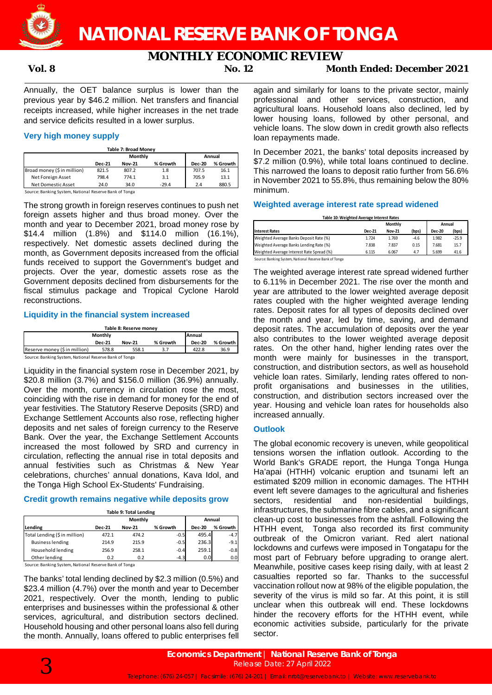## **MONTHLY ECONOMIC REVIEW**<br>No. 12 Mor

**Vol. 8 No. 12 Month Ended: December 2021**

Annually, the OET balance surplus is lower than the previous year by \$46.2 million. Net transfers and financial receipts increased, while higher increases in the net trade and service deficits resulted in a lower surplus.

### **Very high money supply**

| Table 7: Broad Money        |               |               |          |               |          |  |  |
|-----------------------------|---------------|---------------|----------|---------------|----------|--|--|
|                             |               | Monthly       |          | Annual        |          |  |  |
|                             | <b>Dec-21</b> | <b>Nov-21</b> | % Growth | <b>Dec-20</b> | % Growth |  |  |
| Broad money (\$ in million) | 821.5         | 807.2         | 1.8      | 707.5         | 16.1     |  |  |
| Net Foreign Asset           | 798.4         | 774.1         | 3.1      | 705.9         | 13.1     |  |  |
| Net Domestic Asset          | 24.0          | 34.0          | $-29.4$  | 2.4           | 880.5    |  |  |

Source: Banking System, National Reserve Bank of Tonga

The strong growth in foreign reserves continues to push net foreign assets higher and thus broad money. Over the month and year to December 2021, broad money rose by \$14.4 million (1.8%) and \$114.0 million (16.1%), respectively. Net domestic assets declined during the month, as Government deposits increased from the official funds received to support the Government's budget and projects. Over the year, domestic assets rose as the Government deposits declined from disbursements for the fiscal stimulus package and Tropical Cyclone Harold reconstructions.

### **Liquidity in the financial system increased**

| Table 8: Reserve money                                 |               |               |          |               |            |  |
|--------------------------------------------------------|---------------|---------------|----------|---------------|------------|--|
| Monthly<br>Annual                                      |               |               |          |               |            |  |
|                                                        | <b>Dec-21</b> | <b>Nov-21</b> | % Growth | <b>Dec-20</b> | % Growth I |  |
| Reserve money (\$ in million)                          | 578.8         | 558.1         | 3.7      | 422.8         | 36.9       |  |
| Source: Banking System, National Reserve Bank of Tonga |               |               |          |               |            |  |

Liquidity in the financial system rose in December 2021, by \$20.8 million (3.7%) and \$156.0 million (36.9%) annually. Over the month, currency in circulation rose the most, coinciding with the rise in demand for money for the end of year festivities. The Statutory Reserve Deposits (SRD) and Exchange Settlement Accounts also rose, reflecting higher deposits and net sales of foreign currency to the Reserve Bank. Over the year, the Exchange Settlement Accounts increased the most followed by SRD and currency in circulation, reflecting the annual rise in total deposits and annual festivities such as Christmas & New Year celebrations, churches' annual donations, Kava Idol, and

### **Credit growth remains negative while deposits grow**

the Tonga High School Ex-Students' Fundraising.

|                               |               | <b>Table 9: Total Lending</b> |          |               |          |
|-------------------------------|---------------|-------------------------------|----------|---------------|----------|
|                               |               | Monthly                       | Annual   |               |          |
| Lending                       | <b>Dec-21</b> | <b>Nov-21</b>                 | % Growth | <b>Dec-20</b> | % Growth |
| Total Lending (\$ in million) | 472.1         | 474.2                         | $-0.5$   | 495.4         | $-4.7$   |
| <b>Business lending</b>       | 214.9         | 215.9                         | $-0.5$   | 236.3         | $-9.1$   |
| Household lending             | 256.9         | 258.1                         | $-0.4$   | 259.1         | $-0.8$   |
| Other lending                 | 0.2           | 0.2                           | $-4.3$   | 0.0           | 0.0      |

Source: Banking System, National Reserve Bank of Tonga

The banks' total lending declined by \$2.3 million (0.5%) and \$23.4 million (4.7%) over the month and year to December 2021, respectively. Over the month, lending to public enterprises and businesses within the professional & other services, agricultural, and distribution sectors declined. Household housing and other personal loans also fell during the month. Annually, loans offered to public enterprises fell again and similarly for loans to the private sector, mainly professional and other services, construction, and agricultural loans. Household loans also declined, led by lower housing loans, followed by other personal, and vehicle loans. The slow down in credit growth also reflects loan repayments made.

In December 2021, the banks' total deposits increased by \$7.2 million (0.9%), while total loans continued to decline. This narrowed the loans to deposit ratio further from 56.6% in November 2021 to 55.8%, thus remaining below the 80% minimum.

### **Weighted average interest rate spread widened**

| <b>Interest Rates</b>                     |               | <b>Monthly</b> |        | Annual |         |
|-------------------------------------------|---------------|----------------|--------|--------|---------|
|                                           | <b>Dec-21</b> | <b>Nov-21</b>  | (bps)  | Dec-20 | (bps)   |
| Weighted Average Banks Deposit Rate (%)   | 1.724         | 1.769          | $-4.6$ | 1.982  | $-25.9$ |
| Weighted Average Banks Lending Rate (%)   | 7.838         | 7.837          | 0.15   | 7.681  | 15.7    |
| Weighted Average Interest Rate Spread (%) | 6.115         | 6.067          | 4.7    | 5.699  | 41.6    |

The weighted average interest rate spread widened further to 6.11% in December 2021. The rise over the month and year are attributed to the lower weighted average deposit rates coupled with the higher weighted average lending rates. Deposit rates for all types of deposits declined over the month and year, led by time, saving, and demand deposit rates. The accumulation of deposits over the year also contributes to the lower weighted average deposit rates. On the other hand, higher lending rates over the month were mainly for businesses in the transport, construction, and distribution sectors, as well as household vehicle loan rates. Similarly, lending rates offered to nonprofit organisations and businesses in the utilities, construction, and distribution sectors increased over the year. Housing and vehicle loan rates for households also increased annually.

### **Outlook**

The global economic recovery is uneven, while geopolitical tensions worsen the inflation outlook. According to the World Bank's GRADE report, the Hunga Tonga Hunga Ha'apai (HTHH) volcanic eruption and tsunami left an estimated \$209 million in economic damages. The HTHH event left severe damages to the agricultural and fisheries sectors, residential and non-residential buildings, infrastructures, the submarine fibre cables, and a significant clean-up cost to businesses from the ashfall. Following the HTHH event, Tonga also recorded its first community outbreak of the Omicron variant. Red alert national lockdowns and curfews were imposed in Tongatapu for the most part of February before upgrading to orange alert. Meanwhile, positive cases keep rising daily, with at least 2 casualties reported so far. Thanks to the successful vaccination rollout now at 98% of the eligible population, the severity of the virus is mild so far. At this point, it is still unclear when this outbreak will end. These lockdowns hinder the recovery efforts for the HTHH event, while economic activities subside, particularly for the private sector.